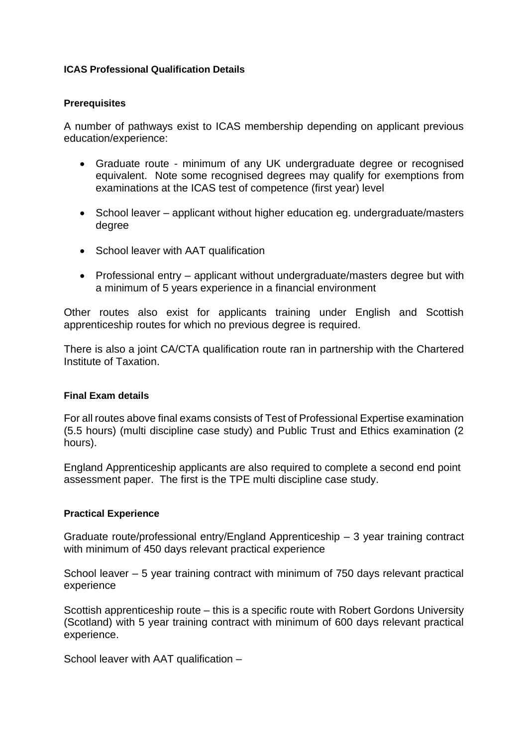## **ICAS Professional Qualification Details**

## **Prerequisites**

A number of pathways exist to ICAS membership depending on applicant previous education/experience:

- Graduate route minimum of any UK undergraduate degree or recognised equivalent. Note some recognised degrees may qualify for exemptions from examinations at the ICAS test of competence (first year) level
- School leaver applicant without higher education eg. undergraduate/masters degree
- School leaver with AAT qualification
- Professional entry applicant without undergraduate/masters degree but with a minimum of 5 years experience in a financial environment

Other routes also exist for applicants training under English and Scottish apprenticeship routes for which no previous degree is required.

There is also a joint CA/CTA qualification route ran in partnership with the Chartered Institute of Taxation.

## **Final Exam details**

For all routes above final exams consists of Test of Professional Expertise examination (5.5 hours) (multi discipline case study) and Public Trust and Ethics examination (2 hours).

England Apprenticeship applicants are also required to complete a second end point assessment paper. The first is the TPE multi discipline case study.

## **Practical Experience**

Graduate route/professional entry/England Apprenticeship – 3 year training contract with minimum of 450 days relevant practical experience

School leaver – 5 year training contract with minimum of 750 days relevant practical experience

Scottish apprenticeship route – this is a specific route with Robert Gordons University (Scotland) with 5 year training contract with minimum of 600 days relevant practical experience.

School leaver with AAT qualification –